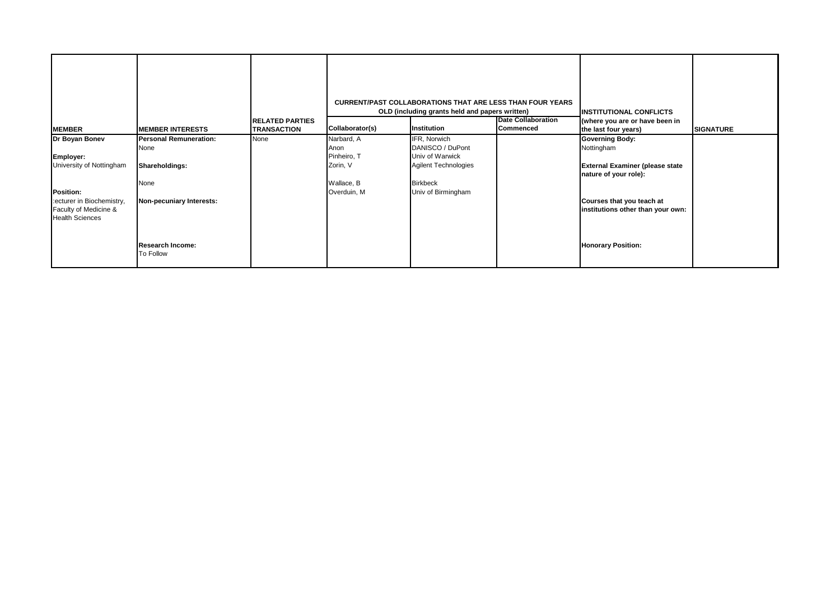|                                                                                                                            |                                                                                             |                                              |                                                                            | <b>CURRENT/PAST COLLABORATIONS THAT ARE LESS THAN FOUR YEARS</b><br>OLD (including grants held and papers written)          |                                               | <b>INSTITUTIONAL CONFLICTS</b>                                                                                                                                            |                  |
|----------------------------------------------------------------------------------------------------------------------------|---------------------------------------------------------------------------------------------|----------------------------------------------|----------------------------------------------------------------------------|-----------------------------------------------------------------------------------------------------------------------------|-----------------------------------------------|---------------------------------------------------------------------------------------------------------------------------------------------------------------------------|------------------|
| <b>MEMBER</b>                                                                                                              | <b>IMEMBER INTERESTS</b>                                                                    | <b>RELATED PARTIES</b><br><b>TRANSACTION</b> | Collaborator(s)                                                            | Institution                                                                                                                 | <b>Date Collaboration</b><br><b>Commenced</b> | (where you are or have been in<br>the last four years)                                                                                                                    | <b>SIGNATURE</b> |
| Dr Boyan Bonev<br>Employer:<br>University of Nottingham<br>Position:<br>:ecturer in Biochemistry,<br>Faculty of Medicine & | <b>Personal Remuneration:</b><br>None<br>Shareholdings:<br>None<br>Non-pecuniary Interests: | None                                         | Narbard, A<br>Anon<br>Pinheiro, T<br>Zorin, V<br>Wallace, B<br>Overduin, M | IFR, Norwich<br>DANISCO / DuPont<br>Univ of Warwick<br><b>Agilent Technologies</b><br><b>Birkbeck</b><br>Univ of Birmingham |                                               | <b>Governing Body:</b><br>Nottingham<br><b>External Examiner (please state</b><br>nature of your role):<br>Courses that you teach at<br>institutions other than your own: |                  |
| <b>Health Sciences</b>                                                                                                     | <b>Research Income:</b><br>To Follow                                                        |                                              |                                                                            |                                                                                                                             |                                               | <b>Honorary Position:</b>                                                                                                                                                 |                  |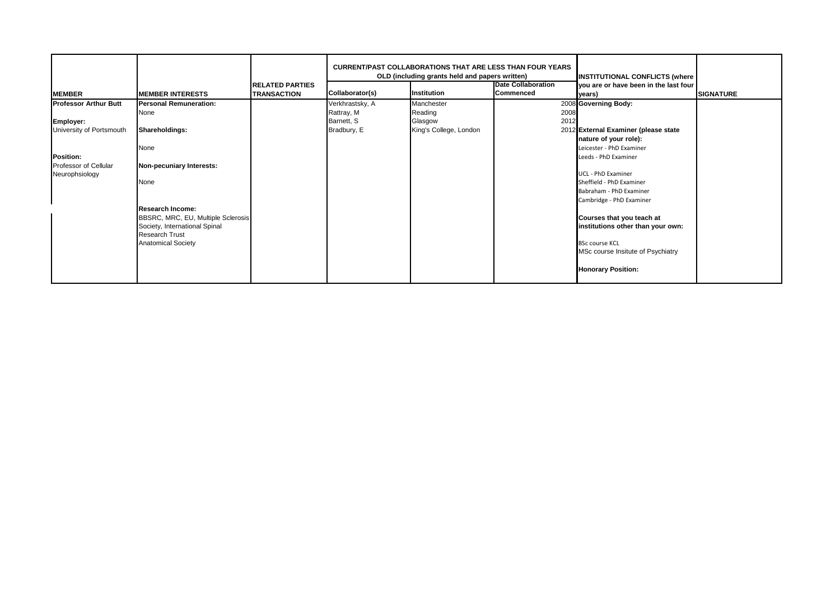|                                                                                                                                      |                                                                                                                                                                                                                                                             | <b>RELATED PARTIES</b> |                                                            | <b>CURRENT/PAST COLLABORATIONS THAT ARE LESS THAN FOUR YEARS</b><br>OLD (including grants held and papers written) | <b>Date Collaboration</b> | <b>INSTITUTIONAL CONFLICTS (where</b><br>you are or have been in the last four                                                                                                                                                                                                                                                                |                  |
|--------------------------------------------------------------------------------------------------------------------------------------|-------------------------------------------------------------------------------------------------------------------------------------------------------------------------------------------------------------------------------------------------------------|------------------------|------------------------------------------------------------|--------------------------------------------------------------------------------------------------------------------|---------------------------|-----------------------------------------------------------------------------------------------------------------------------------------------------------------------------------------------------------------------------------------------------------------------------------------------------------------------------------------------|------------------|
| <b>MEMBER</b>                                                                                                                        | <b>MEMBER INTERESTS</b>                                                                                                                                                                                                                                     | <b>TRANSACTION</b>     | Collaborator(s)                                            | Institution                                                                                                        | Commenced                 | years)                                                                                                                                                                                                                                                                                                                                        | <b>SIGNATURE</b> |
| <b>Professor Arthur Butt</b><br><b>Employer:</b><br>University of Portsmouth<br>Position:<br>Professor of Cellular<br>Neurophsiology | <b>Personal Remuneration:</b><br>None<br>Shareholdings:<br>None<br>Non-pecuniary Interests:<br>None<br><b>Research Income:</b><br>BBSRC, MRC, EU, Multiple Sclerosis<br>Society, International Spinal<br><b>Research Trust</b><br><b>Anatomical Society</b> |                        | Verkhrastsky, A<br>Rattray, M<br>Barnett, S<br>Bradbury, E | Manchester<br>Reading<br>Glasgow<br>King's College, London                                                         | 2008<br>2012              | 2008 Governing Body:<br>2012 External Examiner (please state<br>nature of your role):<br>Leicester - PhD Examiner<br>Leeds - PhD Examiner<br>UCL - PhD Examiner<br>Sheffield - PhD Examiner<br>Babraham - PhD Examiner<br>Cambridge - PhD Examiner<br>Courses that you teach at<br>institutions other than your own:<br><b>BSc course KCL</b> |                  |
|                                                                                                                                      |                                                                                                                                                                                                                                                             |                        |                                                            |                                                                                                                    |                           | MSc course Insitute of Psychiatry<br><b>Honorary Position:</b>                                                                                                                                                                                                                                                                                |                  |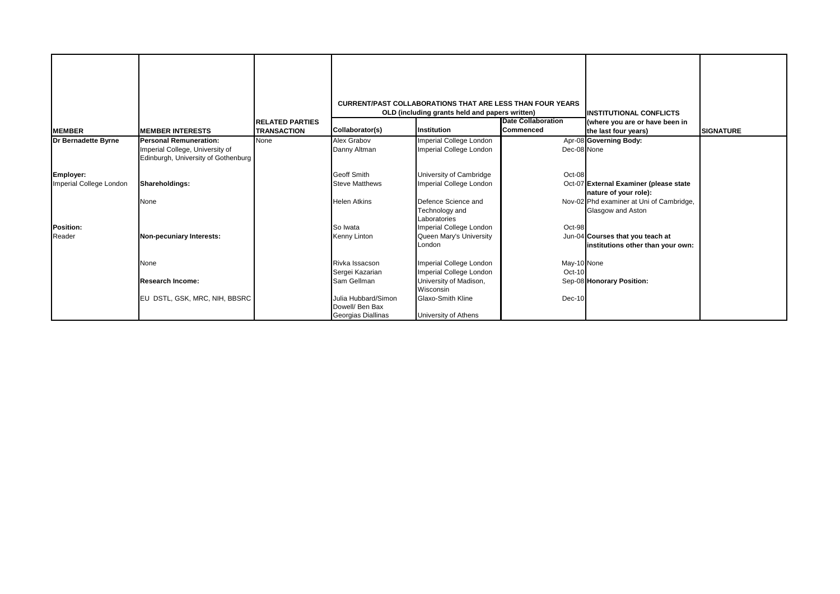| <b>IMEMBER</b>          | <b>IMEMBER INTERESTS</b>                                               | <b>RELATED PARTIES</b><br><b>TRANSACTION</b> | Collaborator(s)                                              | <b>CURRENT/PAST COLLABORATIONS THAT ARE LESS THAN FOUR YEARS</b><br>OLD (including grants held and papers written)<br>Institution | <b>Date Collaboration</b><br><b>Commenced</b> | <b>INSTITUTIONAL CONFLICTS</b><br>(where you are or have been in<br>the last four years) | <b>SIGNATURE</b> |
|-------------------------|------------------------------------------------------------------------|----------------------------------------------|--------------------------------------------------------------|-----------------------------------------------------------------------------------------------------------------------------------|-----------------------------------------------|------------------------------------------------------------------------------------------|------------------|
| Dr Bernadette Byrne     | <b>Personal Remuneration:</b>                                          | None                                         | Alex Grabov                                                  | Imperial College London                                                                                                           |                                               | Apr-08 Governing Body:                                                                   |                  |
|                         | Imperial College, University of<br>Edinburgh, University of Gothenburg |                                              | Danny Altman                                                 | <b>Imperial College London</b>                                                                                                    | Dec-08 None                                   |                                                                                          |                  |
| Employer:               |                                                                        |                                              | <b>Geoff Smith</b>                                           | University of Cambridge                                                                                                           | Oct-08                                        |                                                                                          |                  |
| Imperial College London | Shareholdings:                                                         |                                              | <b>Steve Matthews</b>                                        | Imperial College London                                                                                                           |                                               | Oct-07 External Examiner (please state<br>nature of your role):                          |                  |
|                         | None                                                                   |                                              | <b>Helen Atkins</b>                                          | Defence Science and<br>Technology and<br>Laboratories                                                                             |                                               | Nov-02 Phd examiner at Uni of Cambridge,<br>Glasgow and Aston                            |                  |
| Position:               |                                                                        |                                              | So Iwata                                                     | Imperial College London                                                                                                           | Oct-98                                        |                                                                                          |                  |
| Reader                  | Non-pecuniary Interests:                                               |                                              | Kenny Linton                                                 | Queen Mary's University<br>London                                                                                                 |                                               | Jun-04 Courses that you teach at<br>institutions other than your own:                    |                  |
|                         | None                                                                   |                                              | Rivka Issacson                                               | <b>Imperial College London</b>                                                                                                    | May-10 None                                   |                                                                                          |                  |
|                         |                                                                        |                                              | Sergei Kazarian                                              | Imperial College London                                                                                                           | Oct-10                                        |                                                                                          |                  |
|                         | <b>Research Income:</b>                                                |                                              | Sam Gellman                                                  | University of Madison,<br>Wisconsin                                                                                               |                                               | Sep-08 Honorary Position:                                                                |                  |
|                         | EU DSTL, GSK, MRC, NIH, BBSRC                                          |                                              | Julia Hubbard/Simon<br>Dowell/ Ben Bax<br>Georgias Diallinas | <b>Glaxo-Smith Kline</b><br>University of Athens                                                                                  | Dec-10                                        |                                                                                          |                  |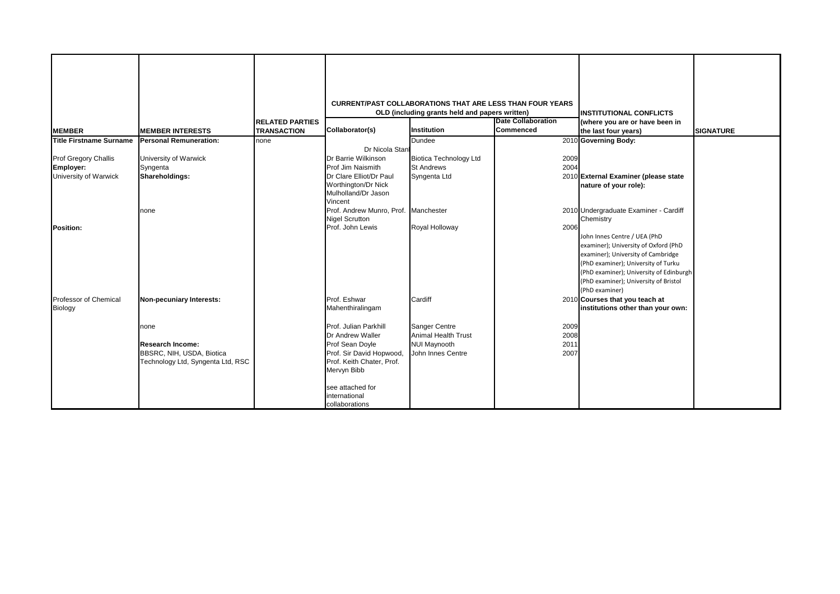|                                  |                                   |                        |                                                       | <b>CURRENT/PAST COLLABORATIONS THAT ARE LESS THAN FOUR YEARS</b> |                           |                                                                                                                                                                                                                                                         |                  |
|----------------------------------|-----------------------------------|------------------------|-------------------------------------------------------|------------------------------------------------------------------|---------------------------|---------------------------------------------------------------------------------------------------------------------------------------------------------------------------------------------------------------------------------------------------------|------------------|
|                                  |                                   |                        |                                                       | OLD (including grants held and papers written)                   | <b>Date Collaboration</b> | <b>IINSTITUTIONAL CONFLICTS</b>                                                                                                                                                                                                                         |                  |
|                                  |                                   | <b>RELATED PARTIES</b> | Collaborator(s)                                       | Institution                                                      | <b>Commenced</b>          | (where you are or have been in                                                                                                                                                                                                                          |                  |
| <b>MEMBER</b>                    | <b>MEMBER INTERESTS</b>           | <b>TRANSACTION</b>     |                                                       |                                                                  |                           | the last four years)                                                                                                                                                                                                                                    | <b>SIGNATURE</b> |
| <b>Title Firstname Surname</b>   | <b>Personal Remuneration:</b>     | none                   |                                                       | <b>Dundee</b>                                                    |                           | 2010 Governing Body:                                                                                                                                                                                                                                    |                  |
|                                  |                                   |                        | Dr Nicola Stan                                        |                                                                  |                           |                                                                                                                                                                                                                                                         |                  |
| Prof Gregory Challis             | University of Warwick             |                        | Dr Barrie Wilkinson                                   | <b>Biotica Technology Ltd</b>                                    | 2009                      |                                                                                                                                                                                                                                                         |                  |
| Employer:                        | Syngenta                          |                        | Prof Jim Naismith                                     | <b>St Andrews</b>                                                | 2004                      |                                                                                                                                                                                                                                                         |                  |
| University of Warwick            | Shareholdings:                    |                        | Dr Clare Elliot/Dr Paul                               | Syngenta Ltd                                                     |                           | 2010 External Examiner (please state                                                                                                                                                                                                                    |                  |
|                                  |                                   |                        | Worthington/Dr Nick<br>Mulholland/Dr Jason<br>Vincent |                                                                  |                           | nature of your role):                                                                                                                                                                                                                                   |                  |
|                                  | none                              |                        | Prof. Andrew Munro, Prof. Manchester                  |                                                                  |                           | 2010 Undergraduate Examiner - Cardiff                                                                                                                                                                                                                   |                  |
|                                  |                                   |                        | <b>Nigel Scrutton</b>                                 |                                                                  |                           | Chemistry                                                                                                                                                                                                                                               |                  |
| <b>Position:</b>                 |                                   |                        | Prof. John Lewis                                      | Royal Holloway                                                   | 2006                      | John Innes Centre / UEA (PhD<br>examiner); University of Oxford (PhD<br>examiner); University of Cambridge<br>(PhD examiner); University of Turku<br>(PhD examiner); University of Edinburgh<br>(PhD examiner); University of Bristol<br>(PhD examiner) |                  |
| Professor of Chemical<br>Biology | Non-pecuniary Interests:          |                        | Prof. Eshwar<br>Mahenthiralingam                      | Cardiff                                                          |                           | 2010 Courses that you teach at<br>institutions other than your own:                                                                                                                                                                                     |                  |
|                                  | none                              |                        | Prof. Julian Parkhill                                 | Sanger Centre                                                    | 2009                      |                                                                                                                                                                                                                                                         |                  |
|                                  |                                   |                        | Dr Andrew Waller                                      | <b>Animal Health Trust</b>                                       | 2008                      |                                                                                                                                                                                                                                                         |                  |
|                                  | <b>Research Income:</b>           |                        | Prof Sean Doyle                                       | <b>NUI Maynooth</b>                                              | 2011                      |                                                                                                                                                                                                                                                         |                  |
|                                  | BBSRC, NIH, USDA, Biotica         |                        | Prof. Sir David Hopwood,                              | John Innes Centre                                                | 2007                      |                                                                                                                                                                                                                                                         |                  |
|                                  | Technology Ltd, Syngenta Ltd, RSC |                        | Prof. Keith Chater, Prof.                             |                                                                  |                           |                                                                                                                                                                                                                                                         |                  |
|                                  |                                   |                        | Mervyn Bibb                                           |                                                                  |                           |                                                                                                                                                                                                                                                         |                  |
|                                  |                                   |                        | see attached for<br>international<br>collaborations   |                                                                  |                           |                                                                                                                                                                                                                                                         |                  |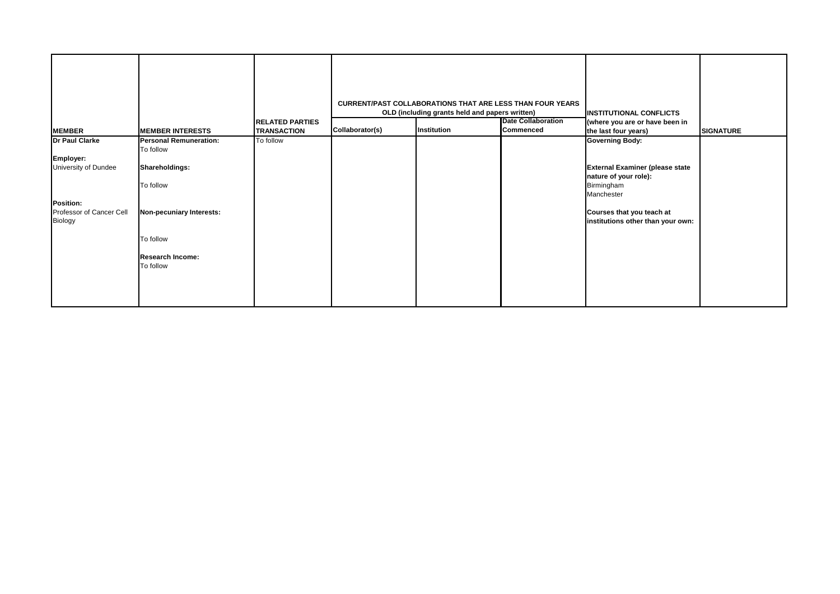|                                                                                                         |                                                                                                                                                            | <b>RELATED PARTIES</b> |                 | OLD (including grants held and papers written) | <b>CURRENT/PAST COLLABORATIONS THAT ARE LESS THAN FOUR YEARS</b><br><b>Date Collaboration</b> | <b>INSTITUTIONAL CONFLICTS</b><br>(where you are or have been in                                                                                                                        |                  |
|---------------------------------------------------------------------------------------------------------|------------------------------------------------------------------------------------------------------------------------------------------------------------|------------------------|-----------------|------------------------------------------------|-----------------------------------------------------------------------------------------------|-----------------------------------------------------------------------------------------------------------------------------------------------------------------------------------------|------------------|
| <b>MEMBER</b>                                                                                           | <b>MEMBER INTERESTS</b>                                                                                                                                    | <b>TRANSACTION</b>     | Collaborator(s) | Institution                                    | <b>Commenced</b>                                                                              | the last four years)                                                                                                                                                                    | <b>SIGNATURE</b> |
| Dr Paul Clarke<br>Employer:<br>University of Dundee<br>Position:<br>Professor of Cancer Cell<br>Biology | <b>Personal Remuneration:</b><br>To follow<br>Shareholdings:<br>To follow<br>Non-pecuniary Interests:<br>To follow<br><b>Research Income:</b><br>To follow | To follow              |                 |                                                |                                                                                               | <b>Governing Body:</b><br><b>External Examiner (please state</b><br>nature of your role):<br>Birmingham<br>Manchester<br>Courses that you teach at<br>institutions other than your own: |                  |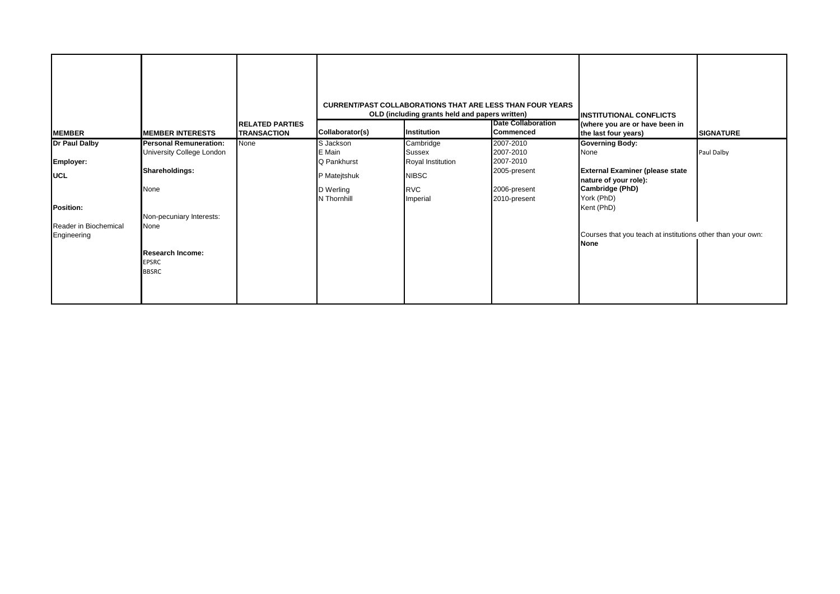|                                                              |                                                                                                                  | <b>IRELATED PARTIES</b> |                                                                                | <b>CURRENT/PAST COLLABORATIONS THAT ARE LESS THAN FOUR YEARS</b><br>OLD (including grants held and papers written) | <b>Date Collaboration</b>                                                           | <b>IINSTITUTIONAL CONFLICTS</b><br>(where you are or have been in                                                                                |                  |
|--------------------------------------------------------------|------------------------------------------------------------------------------------------------------------------|-------------------------|--------------------------------------------------------------------------------|--------------------------------------------------------------------------------------------------------------------|-------------------------------------------------------------------------------------|--------------------------------------------------------------------------------------------------------------------------------------------------|------------------|
| <b>MEMBER</b>                                                | <b>MEMBER INTERESTS</b>                                                                                          | <b>TRANSACTION</b>      | Collaborator(s)                                                                | Institution                                                                                                        | <b>Commenced</b>                                                                    | the last four years)                                                                                                                             | <b>SIGNATURE</b> |
| Dr Paul Dalby<br>Employer:<br><b>UCL</b><br><b>Position:</b> | <b>Personal Remuneration:</b><br>University College London<br>Shareholdings:<br>None<br>Non-pecuniary Interests: | None                    | S Jackson<br>E Main<br>Q Pankhurst<br>P Matejtshuk<br>D Werling<br>N Thornhill | Cambridge<br><b>Sussex</b><br>Royal Institution<br><b>NIBSC</b><br><b>RVC</b><br>Imperial                          | 2007-2010<br>2007-2010<br>2007-2010<br>2005-present<br>2006-present<br>2010-present | <b>Governing Body:</b><br>None<br><b>External Examiner (please state</b><br>nature of your role):<br>Cambridge (PhD)<br>York (PhD)<br>Kent (PhD) | Paul Dalby       |
| Reader in Biochemical<br>Engineering                         | None<br><b>Research Income:</b><br><b>EPSRC</b><br><b>BBSRC</b>                                                  |                         |                                                                                |                                                                                                                    |                                                                                     | Courses that you teach at institutions other than your own:<br><b>None</b>                                                                       |                  |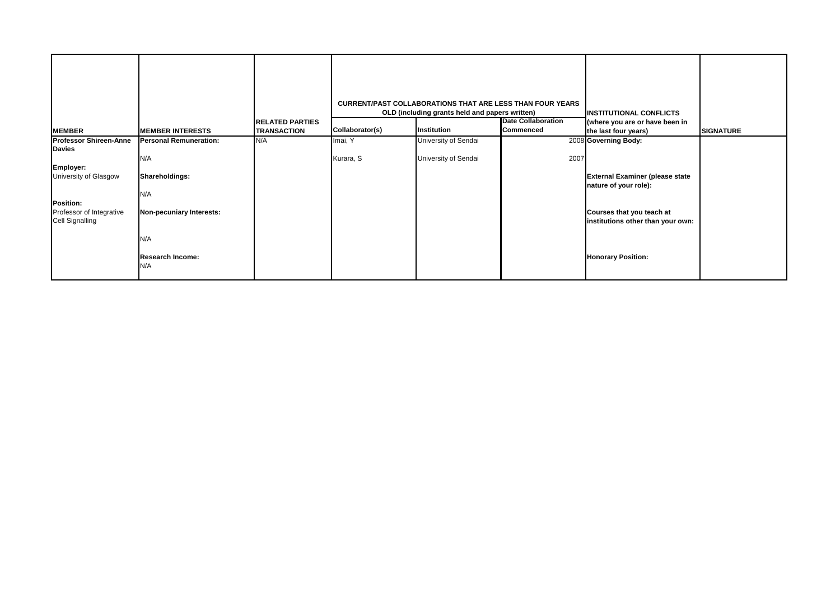|                                                                 |                                |                        |                 | <b>CURRENT/PAST COLLABORATIONS THAT ARE LESS THAN FOUR YEARS</b> |                           |                                                                  |                  |
|-----------------------------------------------------------------|--------------------------------|------------------------|-----------------|------------------------------------------------------------------|---------------------------|------------------------------------------------------------------|------------------|
|                                                                 |                                | <b>RELATED PARTIES</b> |                 | OLD (including grants held and papers written)                   | <b>Date Collaboration</b> | <b>INSTITUTIONAL CONFLICTS</b><br>(where you are or have been in |                  |
| <b>MEMBER</b>                                                   | <b>MEMBER INTERESTS</b>        | <b>TRANSACTION</b>     | Collaborator(s) | Institution                                                      | <b>Commenced</b>          | the last four years)                                             | <b>SIGNATURE</b> |
| <b>Professor Shireen-Anne</b>                                   | <b>Personal Remuneration:</b>  | N/A                    | Imai, Y         | University of Sendai                                             |                           | 2008 Governing Body:                                             |                  |
| <b>Davies</b>                                                   | N/A                            |                        | Kurara, S       | University of Sendai                                             | 2007                      |                                                                  |                  |
| Employer:                                                       |                                |                        |                 |                                                                  |                           |                                                                  |                  |
| University of Glasgow                                           | Shareholdings:                 |                        |                 |                                                                  |                           | <b>External Examiner (please state</b><br>nature of your role):  |                  |
|                                                                 | N/A                            |                        |                 |                                                                  |                           |                                                                  |                  |
| Position:<br>Professor of Integrative<br><b>Cell Signalling</b> | Non-pecuniary Interests:       |                        |                 |                                                                  |                           | Courses that you teach at<br>institutions other than your own:   |                  |
|                                                                 | N/A                            |                        |                 |                                                                  |                           |                                                                  |                  |
|                                                                 | <b>Research Income:</b><br>N/A |                        |                 |                                                                  |                           | <b>Honorary Position:</b>                                        |                  |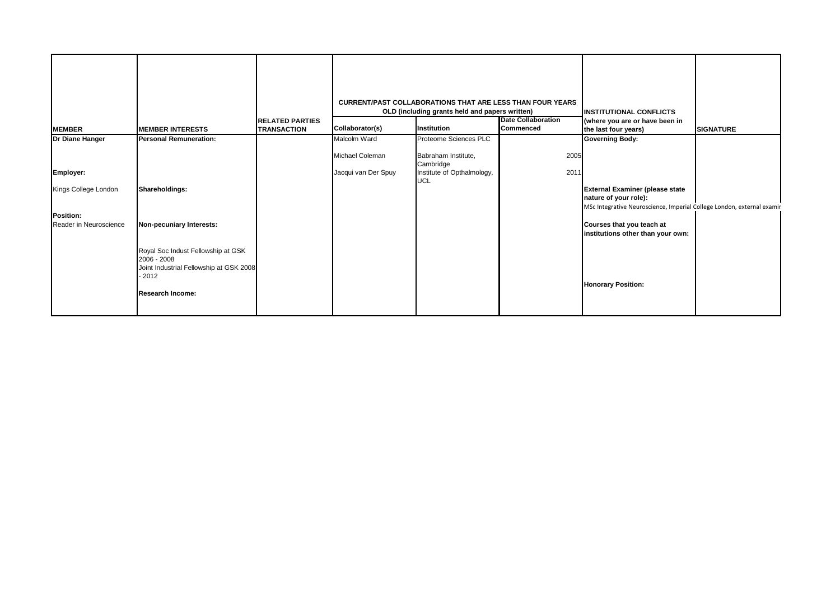| <b>MEMBER</b>          | <b>MEMBER INTERESTS</b>                                                                                                            | <b>RELATED PARTIES</b><br><b>TRANSACTION</b> | Collaborator(s)                        | <b>CURRENT/PAST COLLABORATIONS THAT ARE LESS THAN FOUR YEARS</b><br>OLD (including grants held and papers written)<br>Institution | <b>Date Collaboration</b><br><b>Commenced</b> | <b>INSTITUTIONAL CONFLICTS</b><br>(where you are or have been in<br>the last four years) | <b>SIGNATURE</b> |
|------------------------|------------------------------------------------------------------------------------------------------------------------------------|----------------------------------------------|----------------------------------------|-----------------------------------------------------------------------------------------------------------------------------------|-----------------------------------------------|------------------------------------------------------------------------------------------|------------------|
| Dr Diane Hanger        | <b>Personal Remuneration:</b>                                                                                                      |                                              | Malcolm Ward                           | Proteome Sciences PLC                                                                                                             |                                               | <b>Governing Body:</b>                                                                   |                  |
| Employer:              |                                                                                                                                    |                                              | Michael Coleman<br>Jacqui van Der Spuy | Babraham Institute,<br>Cambridge<br>Institute of Opthalmology,<br><b>UCL</b>                                                      | 2005<br>2011                                  |                                                                                          |                  |
| Kings College London   | Shareholdings:                                                                                                                     |                                              |                                        |                                                                                                                                   |                                               | <b>External Examiner (please state</b><br>nature of your role):                          |                  |
| Position:              |                                                                                                                                    |                                              |                                        |                                                                                                                                   |                                               | MSc Integrative Neuroscience, Imperial College London, external examir                   |                  |
| Reader in Neuroscience | Non-pecuniary Interests:                                                                                                           |                                              |                                        |                                                                                                                                   |                                               | Courses that you teach at<br>institutions other than your own:                           |                  |
|                        | Royal Soc Indust Fellowship at GSK<br>2006 - 2008<br>Joint Industrial Fellowship at GSK 2008<br>$-2012$<br><b>Research Income:</b> |                                              |                                        |                                                                                                                                   |                                               | <b>Honorary Position:</b>                                                                |                  |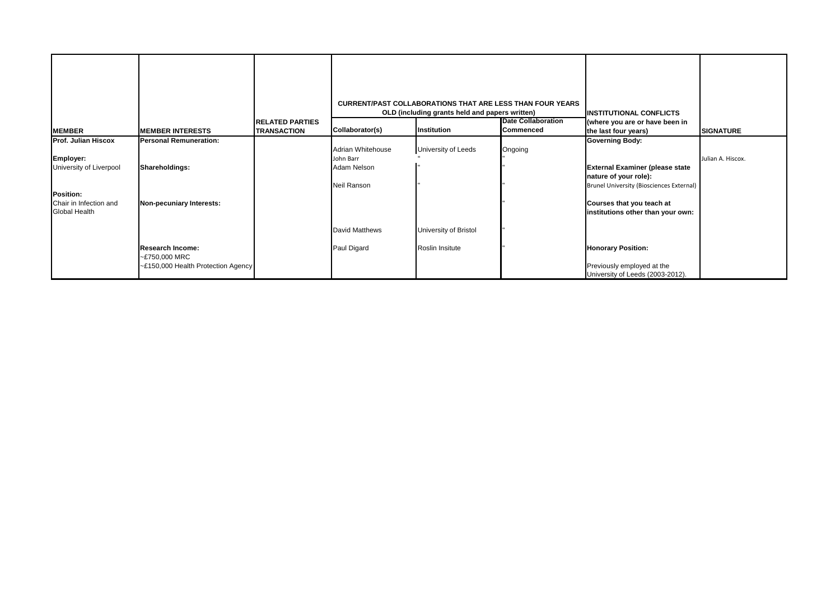| <b>MEMBER</b>                           | <b>MEMBER INTERESTS</b>                  | <b>RELATED PARTIES</b><br><b>TRANSACTION</b> | Collaborator(s)       | <b>CURRENT/PAST COLLABORATIONS THAT ARE LESS THAN FOUR YEARS</b><br>OLD (including grants held and papers written)<br>Institution | <b>Date Collaboration</b><br>Commenced | <b>INSTITUTIONAL CONFLICTS</b><br>(where you are or have been in<br>the last four years) | <b>SIGNATURE</b>  |
|-----------------------------------------|------------------------------------------|----------------------------------------------|-----------------------|-----------------------------------------------------------------------------------------------------------------------------------|----------------------------------------|------------------------------------------------------------------------------------------|-------------------|
| Prof. Julian Hiscox                     | <b>Personal Remuneration:</b>            |                                              |                       |                                                                                                                                   |                                        | <b>Governing Body:</b>                                                                   |                   |
|                                         |                                          |                                              | Adrian Whitehouse     | University of Leeds                                                                                                               | Ongoing                                |                                                                                          |                   |
| Employer:                               |                                          |                                              | John Barr             |                                                                                                                                   |                                        |                                                                                          | Julian A. Hiscox. |
| University of Liverpool                 | Shareholdings:                           |                                              | Adam Nelson           |                                                                                                                                   |                                        | <b>External Examiner (please state</b>                                                   |                   |
|                                         |                                          |                                              |                       |                                                                                                                                   |                                        | nature of your role):                                                                    |                   |
|                                         |                                          |                                              | Neil Ranson           |                                                                                                                                   |                                        | Brunel University (Biosciences External)                                                 |                   |
| Position:                               |                                          |                                              |                       |                                                                                                                                   |                                        |                                                                                          |                   |
| Chair in Infection and<br>Global Health | Non-pecuniary Interests:                 |                                              |                       |                                                                                                                                   |                                        | Courses that you teach at<br>institutions other than your own:                           |                   |
|                                         |                                          |                                              | <b>David Matthews</b> | University of Bristol                                                                                                             |                                        |                                                                                          |                   |
|                                         | <b>Research Income:</b><br>~£750,000 MRC |                                              | Paul Digard           | Roslin Insitute                                                                                                                   |                                        | <b>Honorary Position:</b>                                                                |                   |
|                                         | ~£150,000 Health Protection Agency       |                                              |                       |                                                                                                                                   |                                        | Previously employed at the<br>University of Leeds (2003-2012).                           |                   |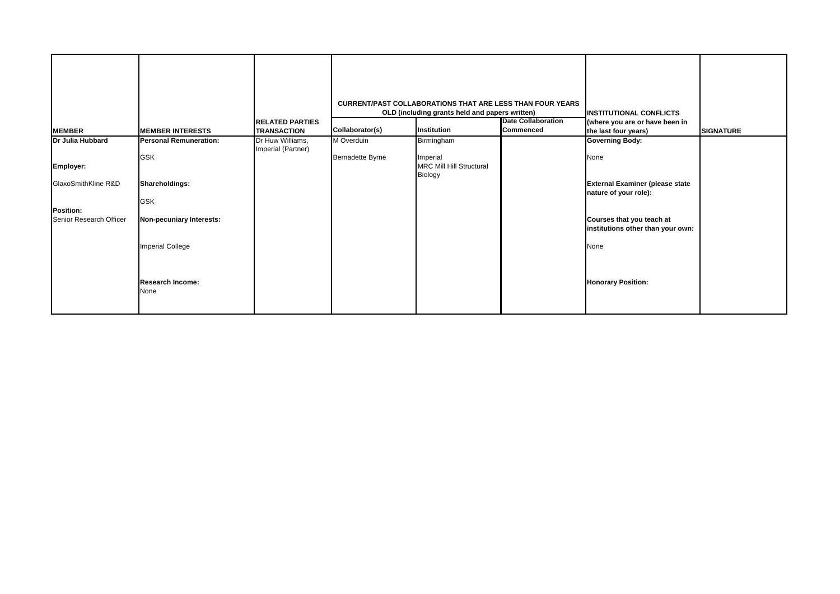| <b>MEMBER</b>           | <b>MEMBER INTERESTS</b>       | <b>RELATED PARTIES</b><br><b>TRANSACTION</b> | Collaborator(s)         | <b>CURRENT/PAST COLLABORATIONS THAT ARE LESS THAN FOUR YEARS</b><br>OLD (including grants held and papers written)<br>Institution | <b>Date Collaboration</b><br>Commenced | <b>INSTITUTIONAL CONFLICTS</b><br>(where you are or have been in<br>the last four years) | <b>SIGNATURE</b> |
|-------------------------|-------------------------------|----------------------------------------------|-------------------------|-----------------------------------------------------------------------------------------------------------------------------------|----------------------------------------|------------------------------------------------------------------------------------------|------------------|
| Dr Julia Hubbard        | <b>Personal Remuneration:</b> | Dr Huw Williams,<br>Imperial (Partner)       | M Overduin              | Birmingham                                                                                                                        |                                        | <b>Governing Body:</b>                                                                   |                  |
| Employer:               | <b>GSK</b>                    |                                              | <b>Bernadette Byrne</b> | Imperial<br><b>MRC Mill Hill Structural</b><br>Biology                                                                            |                                        | None                                                                                     |                  |
| GlaxoSmithKline R&D     | Shareholdings:                |                                              |                         |                                                                                                                                   |                                        | <b>External Examiner (please state</b><br>nature of your role):                          |                  |
| Position:               | <b>GSK</b>                    |                                              |                         |                                                                                                                                   |                                        |                                                                                          |                  |
| Senior Research Officer | Non-pecuniary Interests:      |                                              |                         |                                                                                                                                   |                                        | Courses that you teach at<br>institutions other than your own:                           |                  |
|                         | <b>Imperial College</b>       |                                              |                         |                                                                                                                                   |                                        | None                                                                                     |                  |
|                         | Research Income:<br>None      |                                              |                         |                                                                                                                                   |                                        | <b>Honorary Position:</b>                                                                |                  |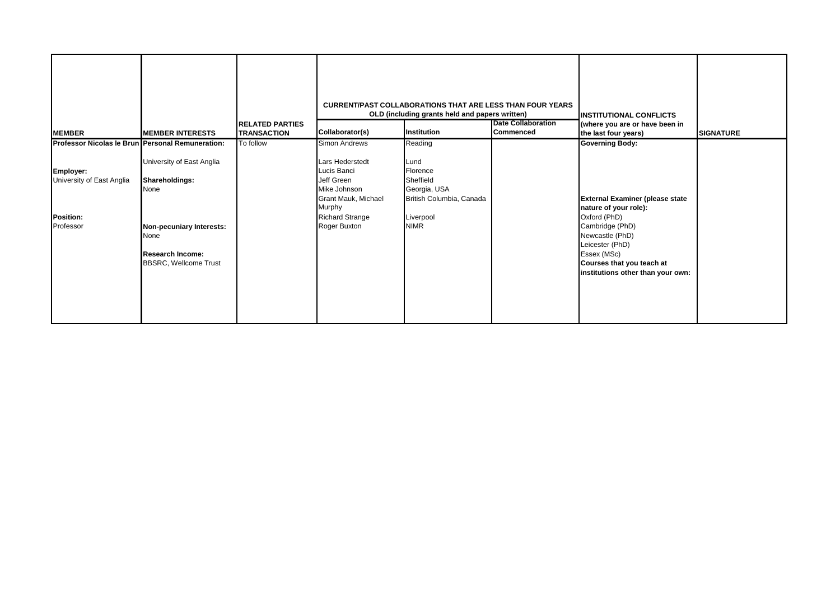| <b>MEMBER</b>                                                    | <b>MEMBER INTERESTS</b>                                                                                                                            | <b>RELATED PARTIES</b><br><b>TRANSACTION</b> | Collaborator(s)                                                                                                                                       | <b>CURRENT/PAST COLLABORATIONS THAT ARE LESS THAN FOUR YEARS</b><br>OLD (including grants held and papers written)<br>Institution | <b>Date Collaboration</b><br>Commenced | <b>IINSTITUTIONAL CONFLICTS</b><br>(where you are or have been in<br>the last four years)                                                                                                                                 | <b>SIGNATURE</b> |
|------------------------------------------------------------------|----------------------------------------------------------------------------------------------------------------------------------------------------|----------------------------------------------|-------------------------------------------------------------------------------------------------------------------------------------------------------|-----------------------------------------------------------------------------------------------------------------------------------|----------------------------------------|---------------------------------------------------------------------------------------------------------------------------------------------------------------------------------------------------------------------------|------------------|
| Professor Nicolas le Brun Personal Remuneration:                 |                                                                                                                                                    | To follow                                    | Simon Andrews                                                                                                                                         | Reading                                                                                                                           |                                        | <b>Governing Body:</b>                                                                                                                                                                                                    |                  |
| Employer:<br>University of East Anglia<br>Position:<br>Professor | University of East Anglia<br>Shareholdings:<br>None<br>Non-pecuniary Interests:<br>None<br><b>Research Income:</b><br><b>BBSRC, Wellcome Trust</b> |                                              | <b>Lars Hederstedt</b><br>Lucis Banci<br>Jeff Green<br>Mike Johnson<br><b>Grant Mauk, Michael</b><br>Murphy<br><b>Richard Strange</b><br>Roger Buxton | Lund<br>Florence<br>Sheffield<br>Georgia, USA<br>British Columbia, Canada<br>Liverpool<br><b>NIMR</b>                             |                                        | <b>External Examiner (please state</b><br>nature of your role):<br>Oxford (PhD)<br>Cambridge (PhD)<br>Newcastle (PhD)<br>Leicester (PhD)<br>Essex (MSc)<br>Courses that you teach at<br>institutions other than your own: |                  |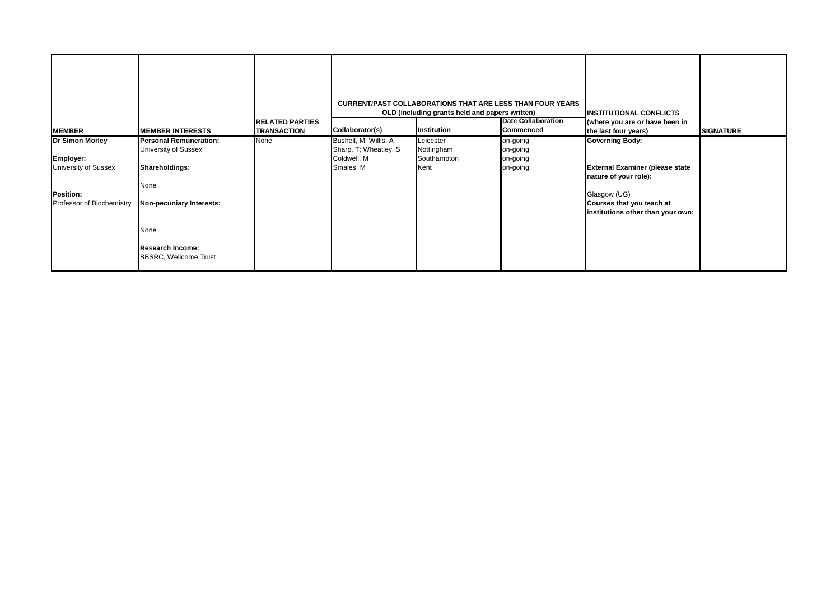|                                               |                                                         | <b>RELATED PARTIES</b> |                                                | <b>CURRENT/PAST COLLABORATIONS THAT ARE LESS THAN FOUR YEARS</b><br>OLD (including grants held and papers written) | <b>INSTITUTIONAL CONFLICTS</b><br>(where you are or have been in |                                                                                |                  |
|-----------------------------------------------|---------------------------------------------------------|------------------------|------------------------------------------------|--------------------------------------------------------------------------------------------------------------------|------------------------------------------------------------------|--------------------------------------------------------------------------------|------------------|
| <b>MEMBER</b>                                 | <b>MEMBER INTERESTS</b>                                 | <b>TRANSACTION</b>     | Collaborator(s)                                | Institution                                                                                                        | Commenced                                                        | the last four years)                                                           | <b>SIGNATURE</b> |
| <b>Dr Simon Morley</b>                        | <b>Personal Remuneration:</b><br>University of Sussex   | None                   | Bushell, M; Willis, A<br>Sharp, T; Wheatley, S | Leicester<br>Nottingham                                                                                            | on-going<br>on-going                                             | <b>Governing Body:</b>                                                         |                  |
| Employer:                                     |                                                         |                        | Coldwell, M                                    | Southampton                                                                                                        | on-going                                                         |                                                                                |                  |
| <b>University of Sussex</b>                   | Shareholdings:                                          |                        | Smales, M                                      | Kent                                                                                                               | on-going                                                         | <b>External Examiner (please state</b><br>nature of your role):                |                  |
|                                               | None                                                    |                        |                                                |                                                                                                                    |                                                                  |                                                                                |                  |
| <b>Position:</b><br>Professor of Biochemistry | Non-pecuniary Interests:                                |                        |                                                |                                                                                                                    |                                                                  | Glasgow (UG)<br>Courses that you teach at<br>institutions other than your own: |                  |
|                                               | None                                                    |                        |                                                |                                                                                                                    |                                                                  |                                                                                |                  |
|                                               | <b>Research Income:</b><br><b>BBSRC, Wellcome Trust</b> |                        |                                                |                                                                                                                    |                                                                  |                                                                                |                  |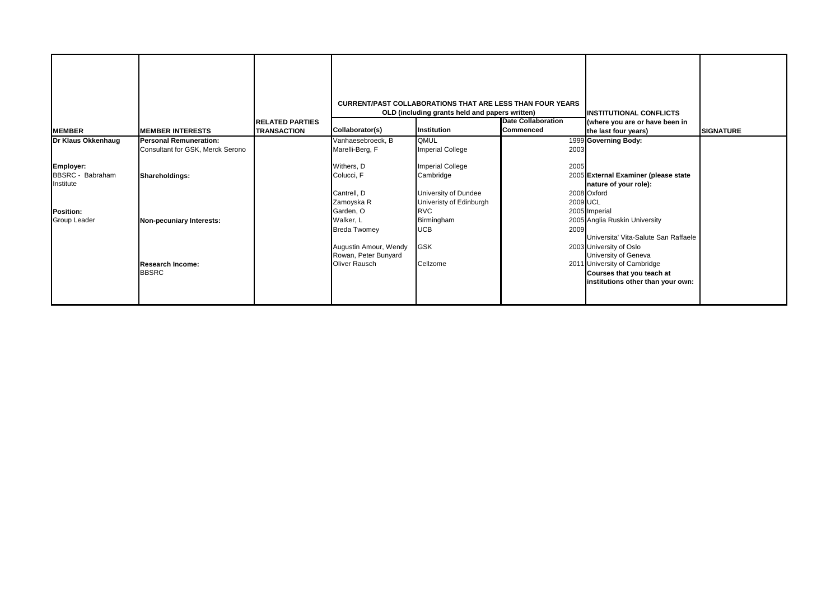|                               |                                         |                                              |                                               | <b>CURRENT/PAST COLLABORATIONS THAT ARE LESS THAN FOUR YEARS</b><br>OLD (including grants held and papers written) |                                               | <b>INSTITUTIONAL CONFLICTS</b>                                                                 |                  |
|-------------------------------|-----------------------------------------|----------------------------------------------|-----------------------------------------------|--------------------------------------------------------------------------------------------------------------------|-----------------------------------------------|------------------------------------------------------------------------------------------------|------------------|
| <b>MEMBER</b>                 | <b>MEMBER INTERESTS</b>                 | <b>RELATED PARTIES</b><br><b>TRANSACTION</b> | Collaborator(s)                               | Institution                                                                                                        | <b>Date Collaboration</b><br><b>Commenced</b> | (where you are or have been in<br>the last four years)                                         | <b>SIGNATURE</b> |
| Dr Klaus Okkenhaug            | <b>Personal Remuneration:</b>           |                                              | Vanhaesebroeck, B                             | <b>QMUL</b>                                                                                                        |                                               | 1999 Governing Body:                                                                           |                  |
|                               | Consultant for GSK, Merck Serono        |                                              | Marelli-Berg, F                               | <b>Imperial College</b>                                                                                            | 2003                                          |                                                                                                |                  |
| Employer:                     |                                         |                                              | Withers, D                                    | <b>Imperial College</b>                                                                                            | 2005                                          |                                                                                                |                  |
| BBSRC - Babraham<br>Institute | Shareholdings:                          |                                              | Colucci, F                                    | Cambridge                                                                                                          |                                               | 2005 External Examiner (please state<br>nature of your role):                                  |                  |
|                               |                                         |                                              | Cantrell, D                                   | University of Dundee                                                                                               |                                               | 2008 Oxford                                                                                    |                  |
|                               |                                         |                                              | Zamoyska R                                    | Univeristy of Edinburgh                                                                                            | 2009 UCL                                      |                                                                                                |                  |
| Position:                     |                                         |                                              | Garden, O                                     | <b>RVC</b>                                                                                                         |                                               | 2005 Imperial                                                                                  |                  |
| <b>Group Leader</b>           | Non-pecuniary Interests:                |                                              | Walker, L                                     | Birmingham                                                                                                         |                                               | 2005 Anglia Ruskin University                                                                  |                  |
|                               |                                         |                                              | <b>Breda Twomey</b>                           | <b>UCB</b>                                                                                                         | 2009                                          | Universita' Vita-Salute San Raffaele                                                           |                  |
|                               |                                         |                                              | Augustin Amour, Wendy<br>Rowan, Peter Bunyard | <b>GSK</b>                                                                                                         |                                               | 2003 University of Oslo<br>University of Geneva                                                |                  |
|                               | <b>Research Income:</b><br><b>BBSRC</b> |                                              | Oliver Rausch                                 | Cellzome                                                                                                           |                                               | 2011 University of Cambridge<br>Courses that you teach at<br>institutions other than your own: |                  |
|                               |                                         |                                              |                                               |                                                                                                                    |                                               |                                                                                                |                  |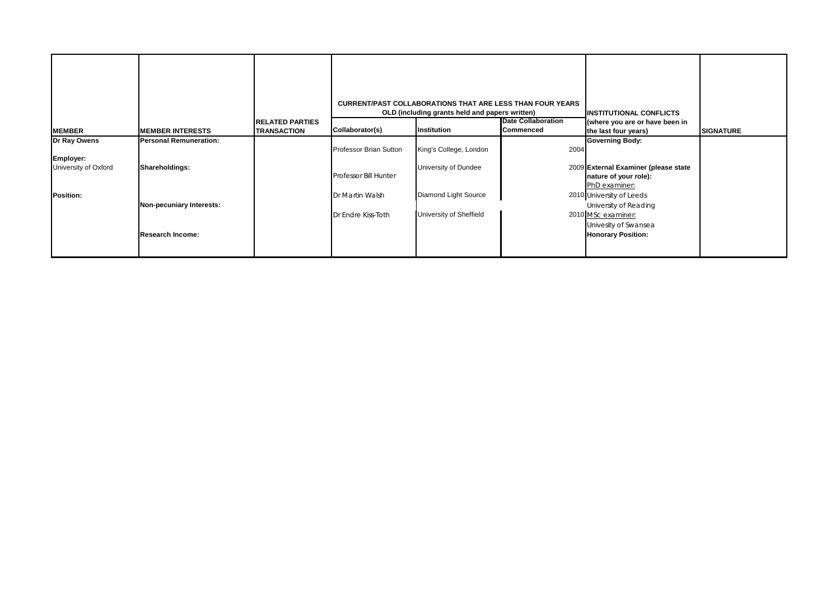| <b>MEMBER</b>                                     | <b>MEMBER INTERESTS</b>                  | <b>RELATED PARTIES</b><br><b>TRANSACTION</b> | Collaborator(s)                                               | <b>CURRENT/PAST COLLABORATIONS THAT ARE LESS THAN FOUR YEARS</b><br>OLD (including grants held and papers written)<br>Institution | <b>Date Collaboration</b><br>Commenced | <b>INSTITUTIONAL CONFLICTS</b><br>(where you are or have been in<br>the last four years)                 | <b>SIGNATURE</b> |
|---------------------------------------------------|------------------------------------------|----------------------------------------------|---------------------------------------------------------------|-----------------------------------------------------------------------------------------------------------------------------------|----------------------------------------|----------------------------------------------------------------------------------------------------------|------------------|
|                                                   |                                          |                                              |                                                               |                                                                                                                                   |                                        |                                                                                                          |                  |
| Dr Ray Owens<br>Employer:<br>University of Oxford | Personal Remuneration:<br>Shareholdings: |                                              | <b>Professor Brian Sutton</b><br><b>Professor Bill Hunter</b> | King's College, London<br>University of Dundee                                                                                    | 2004                                   | <b>Governing Body:</b><br>2009 External Examiner (please state<br>nature of your role):<br>PhD examiner: |                  |
| <b>Position:</b>                                  | Non-pecuniary Interests:                 |                                              | Dr Martin Walsh<br>Dr Endre Kiss-Toth                         | Diamond Light Source<br>University of Sheffield                                                                                   |                                        | 2010 University of Leeds<br>University of Reading<br>2010 MSc examiner:                                  |                  |
|                                                   | <b>Research Income:</b>                  |                                              |                                                               |                                                                                                                                   |                                        | Univesity of Swansea<br><b>Honorary Position:</b>                                                        |                  |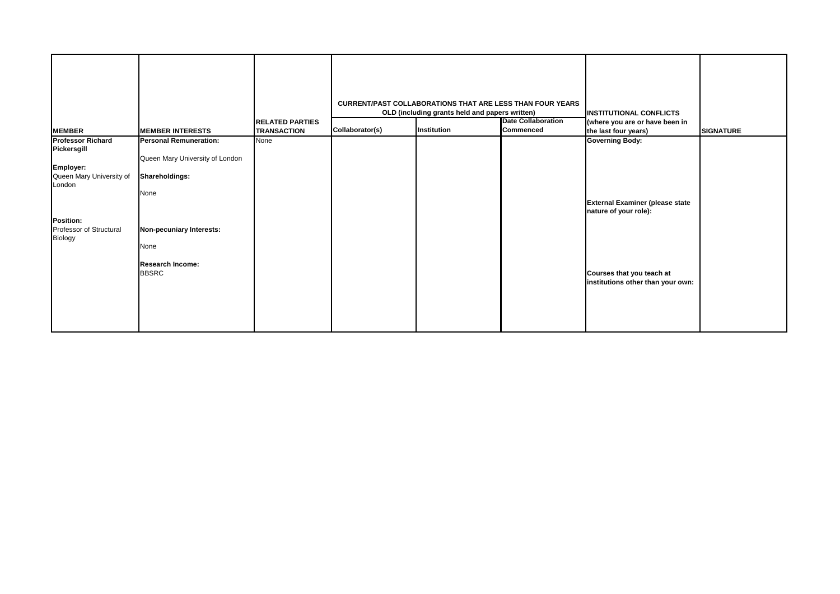| <b>MEMBER</b>                      | <b>MEMBER INTERESTS</b>                 | <b>RELATED PARTIES</b><br><b>TRANSACTION</b> | Collaborator(s) | <b>CURRENT/PAST COLLABORATIONS THAT ARE LESS THAN FOUR YEARS</b><br>OLD (including grants held and papers written)<br>Institution | <b>Date Collaboration</b><br><b>Commenced</b> | <b>INSTITUTIONAL CONFLICTS</b><br>(where you are or have been in<br>the last four years) | <b>SIGNATURE</b> |
|------------------------------------|-----------------------------------------|----------------------------------------------|-----------------|-----------------------------------------------------------------------------------------------------------------------------------|-----------------------------------------------|------------------------------------------------------------------------------------------|------------------|
| <b>Professor Richard</b>           | <b>Personal Remuneration:</b>           | None                                         |                 |                                                                                                                                   |                                               | <b>Governing Body:</b>                                                                   |                  |
| Pickersgill                        |                                         |                                              |                 |                                                                                                                                   |                                               |                                                                                          |                  |
| Employer:                          | Queen Mary University of London         |                                              |                 |                                                                                                                                   |                                               |                                                                                          |                  |
| Queen Mary University of<br>London | Shareholdings:                          |                                              |                 |                                                                                                                                   |                                               |                                                                                          |                  |
|                                    | None                                    |                                              |                 |                                                                                                                                   |                                               | <b>External Examiner (please state</b><br>nature of your role):                          |                  |
| <b>Position:</b>                   |                                         |                                              |                 |                                                                                                                                   |                                               |                                                                                          |                  |
| Professor of Structural<br>Biology | Non-pecuniary Interests:                |                                              |                 |                                                                                                                                   |                                               |                                                                                          |                  |
|                                    | None                                    |                                              |                 |                                                                                                                                   |                                               |                                                                                          |                  |
|                                    | <b>Research Income:</b><br><b>BBSRC</b> |                                              |                 |                                                                                                                                   |                                               | Courses that you teach at                                                                |                  |
|                                    |                                         |                                              |                 |                                                                                                                                   |                                               | institutions other than your own:                                                        |                  |
|                                    |                                         |                                              |                 |                                                                                                                                   |                                               |                                                                                          |                  |
|                                    |                                         |                                              |                 |                                                                                                                                   |                                               |                                                                                          |                  |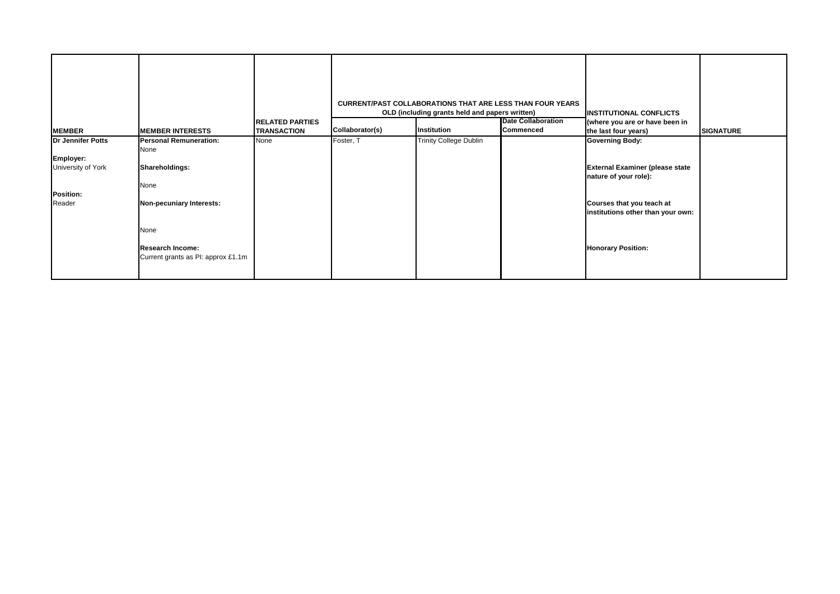| <b>MEMBER</b>                   | <b>MEMBER INTERESTS</b>                                       | <b>RELATED PARTIES</b><br><b>TRANSACTION</b> | Collaborator(s) | <b>CURRENT/PAST COLLABORATIONS THAT ARE LESS THAN FOUR YEARS</b><br>OLD (including grants held and papers written)<br>Institution | <b>Date Collaboration</b><br><b>Commenced</b> | <b>INSTITUTIONAL CONFLICTS</b><br>(where you are or have been in<br>the last four years) | <b>SIGNATURE</b> |
|---------------------------------|---------------------------------------------------------------|----------------------------------------------|-----------------|-----------------------------------------------------------------------------------------------------------------------------------|-----------------------------------------------|------------------------------------------------------------------------------------------|------------------|
| <b>Dr Jennifer Potts</b>        | <b>Personal Remuneration:</b><br>None                         | None                                         | Foster, T       | <b>Trinity College Dublin</b>                                                                                                     |                                               | <b>Governing Body:</b>                                                                   |                  |
| Employer:<br>University of York | Shareholdings:<br>None                                        |                                              |                 |                                                                                                                                   |                                               | <b>External Examiner (please state</b><br>nature of your role):                          |                  |
| Position:<br>Reader             | Non-pecuniary Interests:                                      |                                              |                 |                                                                                                                                   |                                               | Courses that you teach at<br>institutions other than your own:                           |                  |
|                                 | None                                                          |                                              |                 |                                                                                                                                   |                                               |                                                                                          |                  |
|                                 | <b>Research Income:</b><br>Current grants as PI: approx £1.1m |                                              |                 |                                                                                                                                   |                                               | <b>Honorary Position:</b>                                                                |                  |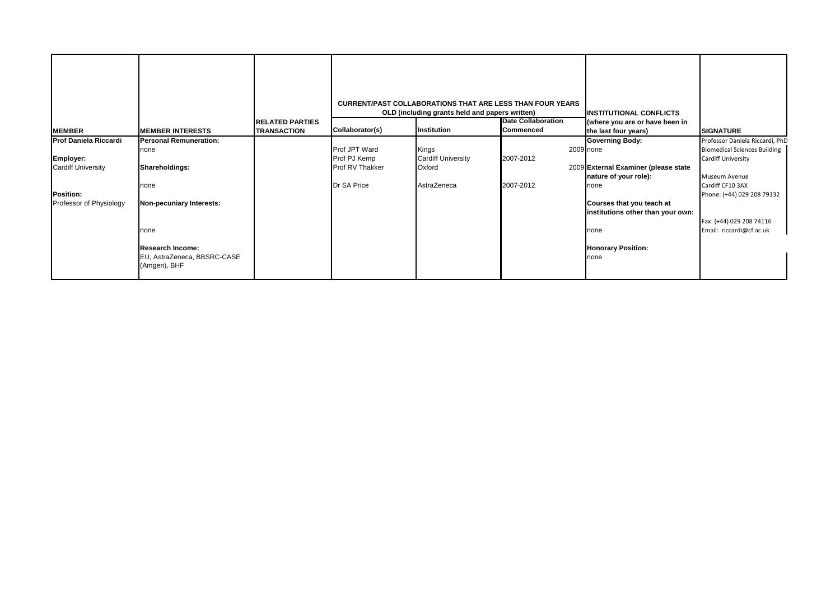| <b>MEMBER</b>                | <b>IMEMBER INTERESTS</b>                    | <b>RELATED PARTIES</b><br><b>TRANSACTION</b> | Collaborator(s) | <b>CURRENT/PAST COLLABORATIONS THAT ARE LESS THAN FOUR YEARS</b><br>OLD (including grants held and papers written)<br><b>Institution</b> | <b>Date Collaboration</b><br>Commenced | <b>IINSTITUTIONAL CONFLICTS</b><br>(where you are or have been in<br>the last four years) | <b>SIGNATURE</b>                    |
|------------------------------|---------------------------------------------|----------------------------------------------|-----------------|------------------------------------------------------------------------------------------------------------------------------------------|----------------------------------------|-------------------------------------------------------------------------------------------|-------------------------------------|
| <b>Prof Daniela Riccardi</b> | <b>Personal Remuneration:</b>               |                                              |                 |                                                                                                                                          |                                        | <b>Governing Body:</b>                                                                    | Professor Daniela Riccardi, PhD     |
|                              | none                                        |                                              | Prof JPT Ward   | Kings                                                                                                                                    |                                        | 2009 none                                                                                 | <b>Biomedical Sciences Building</b> |
| Employer:                    |                                             |                                              | Prof PJ Kemp    | <b>Cardiff University</b>                                                                                                                | 2007-2012                              |                                                                                           | Cardiff University                  |
| <b>Cardiff University</b>    | Shareholdings:                              |                                              | Prof RV Thakker | Oxford                                                                                                                                   |                                        | 2009 External Examiner (please state                                                      |                                     |
|                              |                                             |                                              |                 |                                                                                                                                          |                                        | nature of your role):                                                                     | Museum Avenue                       |
|                              | none                                        |                                              | Dr SA Price     | AstraZeneca                                                                                                                              | 2007-2012                              | none                                                                                      | Cardiff CF10 3AX                    |
| Position:                    |                                             |                                              |                 |                                                                                                                                          |                                        |                                                                                           | Phone: (+44) 029 208 79132          |
| Professor of Physiology      | Non-pecuniary Interests:                    |                                              |                 |                                                                                                                                          |                                        | Courses that you teach at                                                                 |                                     |
|                              |                                             |                                              |                 |                                                                                                                                          |                                        | institutions other than your own:                                                         |                                     |
|                              |                                             |                                              |                 |                                                                                                                                          |                                        |                                                                                           | Fax: (+44) 029 208 74116            |
|                              | none                                        |                                              |                 |                                                                                                                                          |                                        | none                                                                                      | Email: riccardi@cf.ac.uk            |
|                              |                                             |                                              |                 |                                                                                                                                          |                                        |                                                                                           |                                     |
|                              | <b>Research Income:</b>                     |                                              |                 |                                                                                                                                          |                                        | <b>Honorary Position:</b>                                                                 |                                     |
|                              | EU, AstraZeneca, BBSRC-CASE<br>(Amgen), BHF |                                              |                 |                                                                                                                                          |                                        | none                                                                                      |                                     |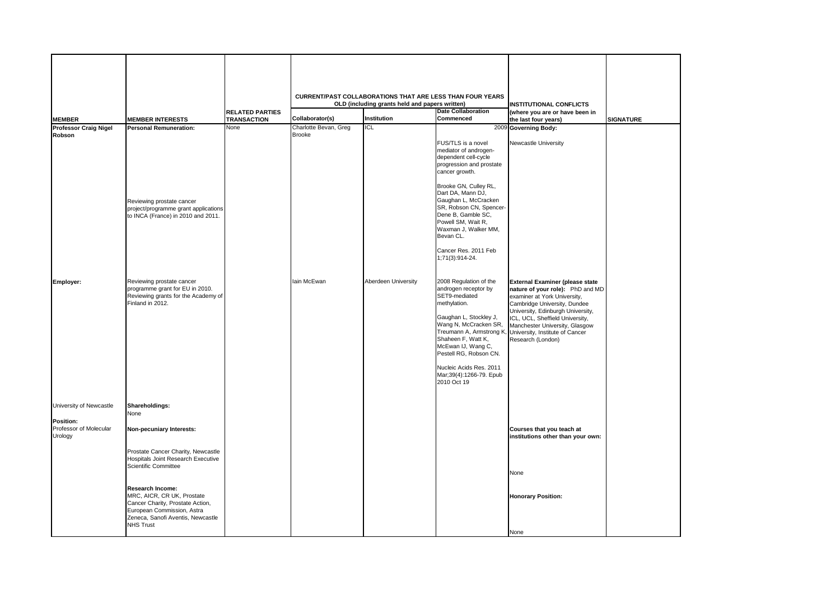| <b>MEMBER</b><br><b>Professor Craig Nigel</b><br>Robson                   | <b>MEMBER INTERESTS</b><br><b>Personal Remuneration:</b>                                                                                                                                                                                                                      | <b>RELATED PARTIES</b><br><b>TRANSACTION</b><br>None | Collaborator(s)<br>Charlotte Bevan, Greg<br><b>Brooke</b> | <b>CURRENT/PAST COLLABORATIONS THAT ARE LESS THAN FOUR YEARS</b><br>OLD (including grants held and papers written)<br>Institution<br><b>ICL</b> | <b>Date Collaboration</b><br>Commenced<br>FUS/TLS is a novel<br>mediator of androgen-<br>dependent cell-cycle<br>progression and prostate<br>cancer growth.<br>Brooke GN, Culley RL,<br>Dart DA, Mann DJ,                                                                     | <b>INSTITUTIONAL CONFLICTS</b><br>(where you are or have been in<br>the last four years)<br>2009 Governing Body:<br>Newcastle University                                                                                                                                                                                              | <b>SIGNATURE</b> |
|---------------------------------------------------------------------------|-------------------------------------------------------------------------------------------------------------------------------------------------------------------------------------------------------------------------------------------------------------------------------|------------------------------------------------------|-----------------------------------------------------------|-------------------------------------------------------------------------------------------------------------------------------------------------|-------------------------------------------------------------------------------------------------------------------------------------------------------------------------------------------------------------------------------------------------------------------------------|---------------------------------------------------------------------------------------------------------------------------------------------------------------------------------------------------------------------------------------------------------------------------------------------------------------------------------------|------------------|
|                                                                           | Reviewing prostate cancer<br>project/programme grant applications<br>to INCA (France) in 2010 and 2011.                                                                                                                                                                       |                                                      |                                                           |                                                                                                                                                 | Gaughan L, McCracken<br>SR, Robson CN, Spencer-<br>Dene B, Gamble SC,<br>Powell SM, Wait R,<br>Waxman J, Walker MM,<br>Bevan CL.<br>Cancer Res. 2011 Feb<br>1;71(3):914-24.                                                                                                   |                                                                                                                                                                                                                                                                                                                                       |                  |
| Employer:                                                                 | Reviewing prostate cancer<br>programme grant for EU in 2010.<br>Reviewing grants for the Academy of<br>Finland in 2012.                                                                                                                                                       |                                                      | lain McEwan                                               | Aberdeen University                                                                                                                             | 2008 Regulation of the<br>androgen receptor by<br>SET9-mediated<br>methylation.<br>Gaughan L, Stockley J,<br>Wang N, McCracken SR,<br>Shaheen F, Watt K,<br>McEwan IJ, Wang C,<br>Pestell RG, Robson CN.<br>Nucleic Acids Res. 2011<br>Mar;39(4):1266-79. Epub<br>2010 Oct 19 | <b>External Examiner (please state</b><br>nature of your role): PhD and MD<br>examiner at York University,<br>Cambridge University, Dundee<br>University, Edinburgh University,<br>ICL, UCL, Sheffield University,<br>Manchester University, Glasgow<br>Treumann A, Armstrong K, University, Institute of Cancer<br>Research (London) |                  |
| University of Newcastle<br>Position:<br>Professor of Molecular<br>Urology | Shareholdings:<br>None<br>Non-pecuniary Interests:                                                                                                                                                                                                                            |                                                      |                                                           |                                                                                                                                                 |                                                                                                                                                                                                                                                                               | Courses that you teach at<br>institutions other than your own:                                                                                                                                                                                                                                                                        |                  |
|                                                                           | Prostate Cancer Charity, Newcastle<br>Hospitals Joint Research Executive<br>Scientific Committee<br>Research Income:<br>MRC, AICR, CR UK, Prostate<br>Cancer Charity, Prostate Action,<br>European Commission, Astra<br>Zeneca, Sanofi Aventis, Newcastle<br><b>NHS Trust</b> |                                                      |                                                           |                                                                                                                                                 |                                                                                                                                                                                                                                                                               | None<br><b>Honorary Position:</b><br>None                                                                                                                                                                                                                                                                                             |                  |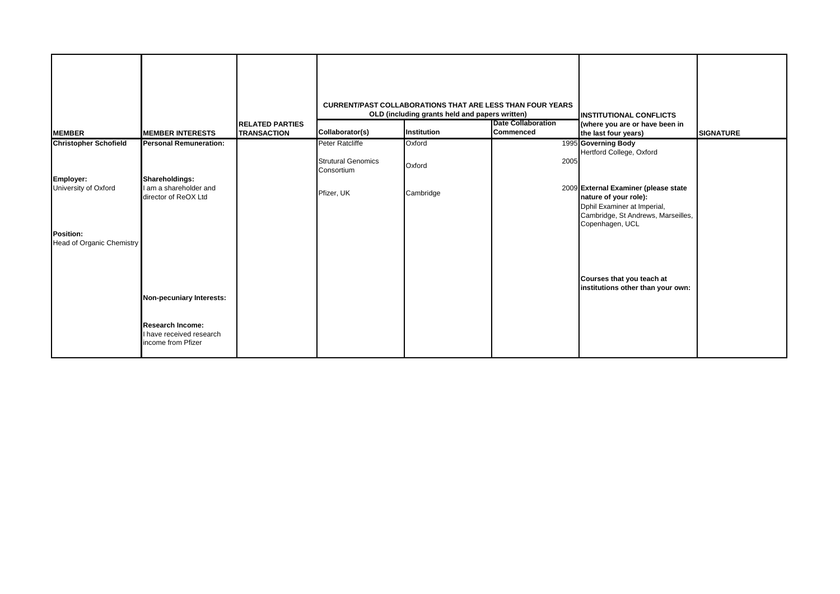|                                               |                                                                           |                        |                                         | <b>CURRENT/PAST COLLABORATIONS THAT ARE LESS THAN FOUR YEARS</b> |                           |                                                                                                                                                       |                  |
|-----------------------------------------------|---------------------------------------------------------------------------|------------------------|-----------------------------------------|------------------------------------------------------------------|---------------------------|-------------------------------------------------------------------------------------------------------------------------------------------------------|------------------|
|                                               |                                                                           |                        |                                         | OLD (including grants held and papers written)                   |                           | <b>IINSTITUTIONAL CONFLICTS</b>                                                                                                                       |                  |
|                                               |                                                                           | <b>RELATED PARTIES</b> |                                         |                                                                  | <b>Date Collaboration</b> | (where you are or have been in                                                                                                                        |                  |
| <b>MEMBER</b>                                 | <b>MEMBER INTERESTS</b>                                                   | <b>TRANSACTION</b>     | Collaborator(s)                         | Institution                                                      | <b>Commenced</b>          | the last four years)                                                                                                                                  | <b>SIGNATURE</b> |
| <b>Christopher Schofield</b>                  | <b>Personal Remuneration:</b>                                             |                        | Peter Ratcliffe                         | Oxford                                                           |                           | 1995 Governing Body<br>Hertford College, Oxford                                                                                                       |                  |
|                                               |                                                                           |                        | <b>Strutural Genomics</b><br>Consortium | Oxford                                                           | 2005                      |                                                                                                                                                       |                  |
| Employer:                                     | Shareholdings:                                                            |                        |                                         |                                                                  |                           |                                                                                                                                                       |                  |
| University of Oxford                          | I am a shareholder and<br>director of ReOX Ltd                            |                        | Pfizer, UK                              | Cambridge                                                        |                           | 2009 External Examiner (please state<br>nature of your role):<br>Dphil Examiner at Imperial,<br>Cambridge, St Andrews, Marseilles,<br>Copenhagen, UCL |                  |
| Position:<br><b>Head of Organic Chemistry</b> |                                                                           |                        |                                         |                                                                  |                           |                                                                                                                                                       |                  |
|                                               | Non-pecuniary Interests:                                                  |                        |                                         |                                                                  |                           | Courses that you teach at<br>institutions other than your own:                                                                                        |                  |
|                                               | <b>Research Income:</b><br>I have received research<br>income from Pfizer |                        |                                         |                                                                  |                           |                                                                                                                                                       |                  |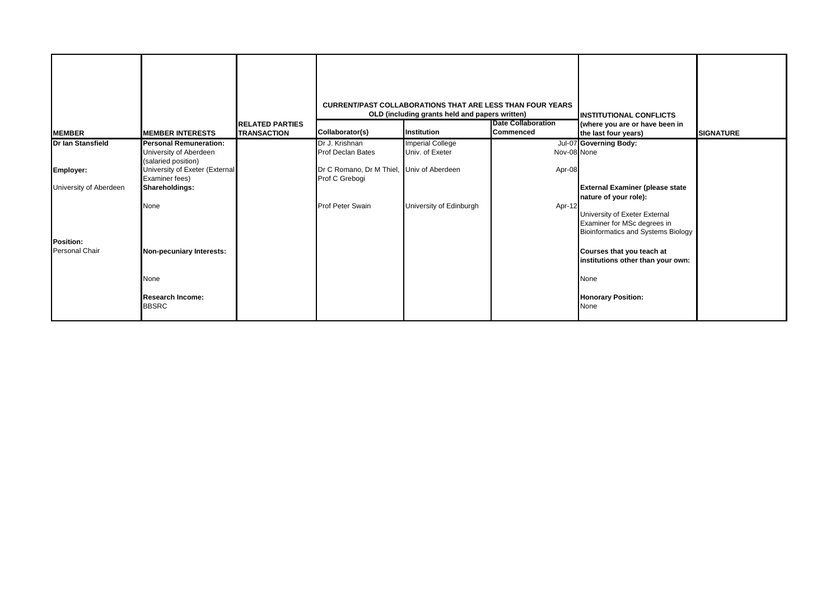| <b>MEMBER</b>          | <b>MEMBER INTERESTS</b>                          | <b>IRELATED PARTIES</b><br><b>TRANSACTION</b> | Collaborator(s)                                             | <b>CURRENT/PAST COLLABORATIONS THAT ARE LESS THAN FOUR YEARS</b><br>OLD (including grants held and papers written)<br>Institution | <b>Date Collaboration</b><br>Commenced | <b>INSTITUTIONAL CONFLICTS</b><br>(where you are or have been in<br>the last four years) | <b>SIGNATURE</b> |
|------------------------|--------------------------------------------------|-----------------------------------------------|-------------------------------------------------------------|-----------------------------------------------------------------------------------------------------------------------------------|----------------------------------------|------------------------------------------------------------------------------------------|------------------|
| Dr Ian Stansfield      | <b>Personal Remuneration:</b>                    |                                               | Dr J. Krishnan                                              | <b>Imperial College</b><br>Univ. of Exeter                                                                                        |                                        | Jul-07 Governing Body:                                                                   |                  |
|                        | University of Aberdeen<br>(salaried position)    |                                               | Prof Declan Bates                                           |                                                                                                                                   | Nov-08 None                            |                                                                                          |                  |
| <b>Employer:</b>       | University of Exeter (External<br>Examiner fees) |                                               | Dr C Romano, Dr M Thiel, Univ of Aberdeen<br>Prof C Grebogi |                                                                                                                                   | Apr-08                                 |                                                                                          |                  |
| University of Aberdeen | Shareholdings:                                   |                                               |                                                             |                                                                                                                                   |                                        | <b>External Examiner (please state</b>                                                   |                  |
|                        | None                                             |                                               | <b>Prof Peter Swain</b>                                     | University of Edinburgh                                                                                                           | Apr-12                                 | nature of your role):                                                                    |                  |
|                        |                                                  |                                               |                                                             |                                                                                                                                   |                                        | University of Exeter External                                                            |                  |
|                        |                                                  |                                               |                                                             |                                                                                                                                   |                                        | Examiner for MSc degrees in<br>Bioinformatics and Systems Biology                        |                  |
| <b>Position:</b>       |                                                  |                                               |                                                             |                                                                                                                                   |                                        |                                                                                          |                  |
| <b>Personal Chair</b>  | Non-pecuniary Interests:                         |                                               |                                                             |                                                                                                                                   |                                        | Courses that you teach at<br>institutions other than your own:                           |                  |
|                        |                                                  |                                               |                                                             |                                                                                                                                   |                                        |                                                                                          |                  |
|                        | None                                             |                                               |                                                             |                                                                                                                                   |                                        | None                                                                                     |                  |
|                        | <b>Research Income:</b><br><b>BBSRC</b>          |                                               |                                                             |                                                                                                                                   |                                        | <b>Honorary Position:</b><br>None                                                        |                  |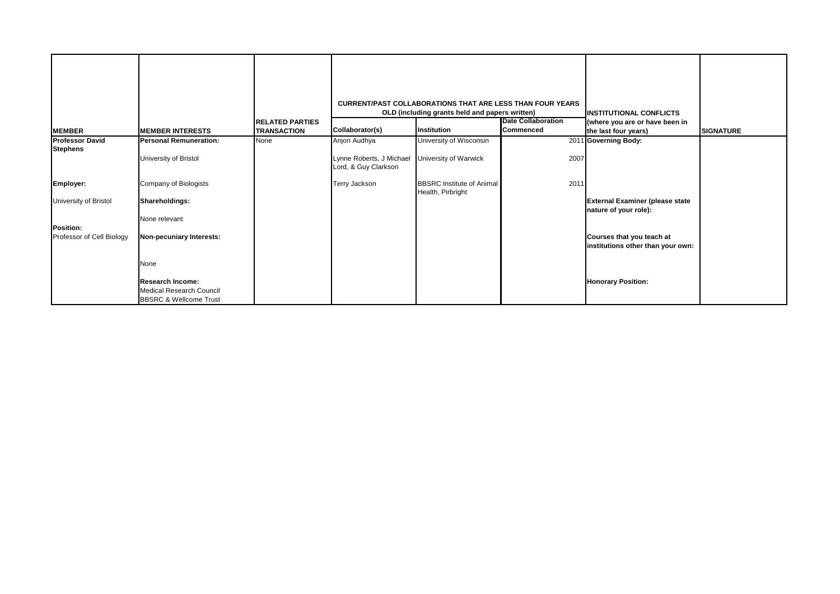|                                           |                                                                                                 | <b>RELATED PARTIES</b> |                                                                  | <b>CURRENT/PAST COLLABORATIONS THAT ARE LESS THAN FOUR YEARS</b><br>OLD (including grants held and papers written) | <b>Date Collaboration</b> | <b>INSTITUTIONAL CONFLICTS</b><br>(where you are or have been in |                  |
|-------------------------------------------|-------------------------------------------------------------------------------------------------|------------------------|------------------------------------------------------------------|--------------------------------------------------------------------------------------------------------------------|---------------------------|------------------------------------------------------------------|------------------|
| <b>MEMBER</b>                             | <b>MEMBER INTERESTS</b>                                                                         | <b>TRANSACTION</b>     | Collaborator(s)                                                  | Institution                                                                                                        | <b>Commenced</b>          | the last four years)                                             | <b>SIGNATURE</b> |
| <b>Professor David</b><br><b>Stephens</b> | <b>Personal Remuneration:</b><br>University of Bristol                                          | None                   | Anjon Audhya<br>Lynne Roberts, J Michael<br>Lord, & Guy Clarkson | University of Wisconsin<br>University of Warwick                                                                   | 2007                      | 2011 Governing Body:                                             |                  |
| Employer:<br>University of Bristol        | Company of Biologists<br><b>Shareholdings:</b><br>None relevant                                 |                        | Terry Jackson                                                    | <b>BBSRC</b> Institute of Animal<br>Health, Pirbright                                                              | 2011                      | <b>External Examiner (please state</b><br>nature of your role):  |                  |
| Position:<br>Professor of Cell Biology    | Non-pecuniary Interests:<br>None                                                                |                        |                                                                  |                                                                                                                    |                           | Courses that you teach at<br>institutions other than your own:   |                  |
|                                           | <b>Research Income:</b><br><b>Medical Research Council</b><br><b>BBSRC &amp; Wellcome Trust</b> |                        |                                                                  |                                                                                                                    |                           | <b>Honorary Position:</b>                                        |                  |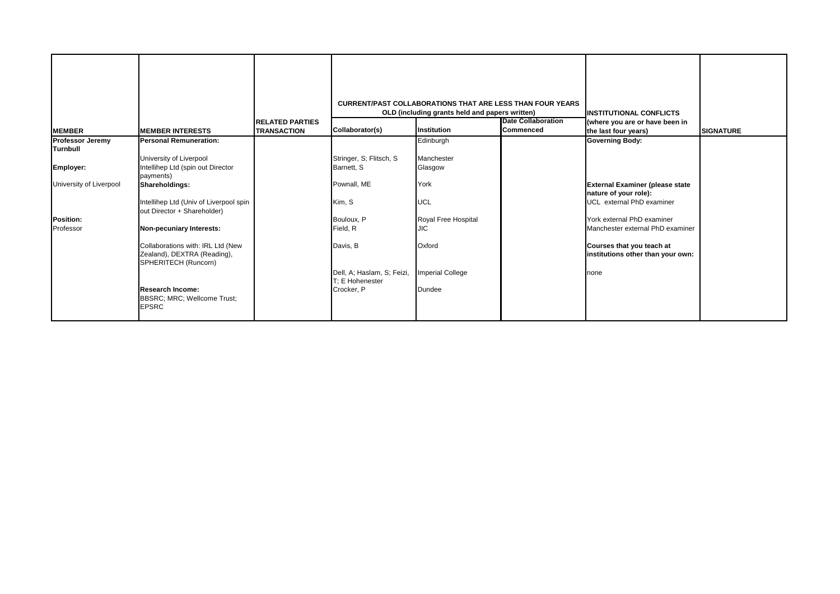| <b>MEMBER</b>                                           | <b>MEMBER INTERESTS</b>                                                                     | <b>RELATED PARTIES</b><br><b>TRANSACTION</b> | Collaborator(s)                                             | <b>CURRENT/PAST COLLABORATIONS THAT ARE LESS THAN FOUR YEARS</b><br>OLD (including grants held and papers written)<br>Institution | <b>Date Collaboration</b><br><b>Commenced</b> | <b>INSTITUTIONAL CONFLICTS</b><br>(where you are or have been in<br>the last four years) | <b>SIGNATURE</b> |
|---------------------------------------------------------|---------------------------------------------------------------------------------------------|----------------------------------------------|-------------------------------------------------------------|-----------------------------------------------------------------------------------------------------------------------------------|-----------------------------------------------|------------------------------------------------------------------------------------------|------------------|
| <b>Professor Jeremy</b>                                 | <b>Personal Remuneration:</b>                                                               |                                              |                                                             | Edinburgh                                                                                                                         |                                               | <b>Governing Body:</b>                                                                   |                  |
| <b>Turnbull</b><br>Employer:<br>University of Liverpool | University of Liverpool<br>Intellihep Ltd (spin out Director<br>payments)<br>Shareholdings: |                                              | Stringer, S; Flitsch, S<br>Barnett, S<br>Pownall, ME        | Manchester<br>Glasgow<br>York                                                                                                     |                                               | <b>External Examiner (please state</b><br>nature of your role):                          |                  |
|                                                         | Intellihep Ltd (Univ of Liverpool spin<br>out Director + Shareholder)                       |                                              | Kim, S                                                      | <b>UCL</b>                                                                                                                        |                                               | UCL external PhD examiner                                                                |                  |
| Position:<br>Professor                                  | Non-pecuniary Interests:                                                                    |                                              | Bouloux, P<br>Field, R                                      | Royal Free Hospital<br><b>JIC</b>                                                                                                 |                                               | York external PhD examiner<br>Manchester external PhD examiner                           |                  |
|                                                         | Collaborations with: IRL Ltd (New<br>Zealand), DEXTRA (Reading),<br>SPHERITECH (Runcorn)    |                                              | Davis, B                                                    | Oxford                                                                                                                            |                                               | Courses that you teach at<br>institutions other than your own:                           |                  |
|                                                         | <b>Research Income:</b><br>BBSRC; MRC; Wellcome Trust;<br><b>EPSRC</b>                      |                                              | Dell, A; Haslam, S; Feizi,<br>T: E Hohenester<br>Crocker, P | <b>Imperial College</b><br>Dundee                                                                                                 |                                               | none                                                                                     |                  |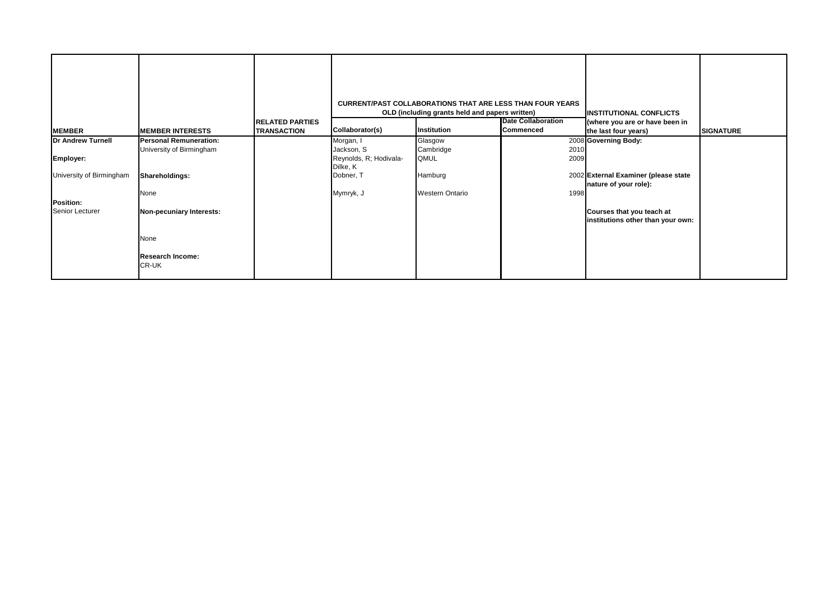| <b>MEMBER</b>            | <b>MEMBER INTERESTS</b>       | <b>RELATED PARTIES</b><br><b>TRANSACTION</b> | Collaborator(s)        | <b>CURRENT/PAST COLLABORATIONS THAT ARE LESS THAN FOUR YEARS</b><br>OLD (including grants held and papers written)<br>Institution | <b>Date Collaboration</b><br>Commenced | <b>INSTITUTIONAL CONFLICTS</b><br>(where you are or have been in<br>the last four years) | <b>SIGNATURE</b> |
|--------------------------|-------------------------------|----------------------------------------------|------------------------|-----------------------------------------------------------------------------------------------------------------------------------|----------------------------------------|------------------------------------------------------------------------------------------|------------------|
| <b>Dr Andrew Turnell</b> | <b>Personal Remuneration:</b> |                                              | Morgan, I              | Glasgow                                                                                                                           |                                        | 2008 Governing Body:                                                                     |                  |
|                          | University of Birmingham      |                                              | Jackson, S             | Cambridge                                                                                                                         | 2010                                   |                                                                                          |                  |
| Employer:                |                               |                                              | Reynolds, R; Hodivala- | QMUL                                                                                                                              | 2009                                   |                                                                                          |                  |
|                          |                               |                                              | Dilke, K               |                                                                                                                                   |                                        |                                                                                          |                  |
| University of Birmingham | Shareholdings:                |                                              | Dobner, T              | Hamburg                                                                                                                           |                                        | 2002 External Examiner (please state                                                     |                  |
|                          |                               |                                              |                        |                                                                                                                                   |                                        | nature of your role):                                                                    |                  |
|                          | None                          |                                              | Mymryk, J              | <b>Western Ontario</b>                                                                                                            | 1998                                   |                                                                                          |                  |
| Position:                |                               |                                              |                        |                                                                                                                                   |                                        |                                                                                          |                  |
| <b>Senior Lecturer</b>   | Non-pecuniary Interests:      |                                              |                        |                                                                                                                                   |                                        | Courses that you teach at                                                                |                  |
|                          |                               |                                              |                        |                                                                                                                                   |                                        | institutions other than your own:                                                        |                  |
|                          |                               |                                              |                        |                                                                                                                                   |                                        |                                                                                          |                  |
|                          | None                          |                                              |                        |                                                                                                                                   |                                        |                                                                                          |                  |
|                          |                               |                                              |                        |                                                                                                                                   |                                        |                                                                                          |                  |
|                          | <b>Research Income:</b>       |                                              |                        |                                                                                                                                   |                                        |                                                                                          |                  |
|                          | CR-UK                         |                                              |                        |                                                                                                                                   |                                        |                                                                                          |                  |
|                          |                               |                                              |                        |                                                                                                                                   |                                        |                                                                                          |                  |